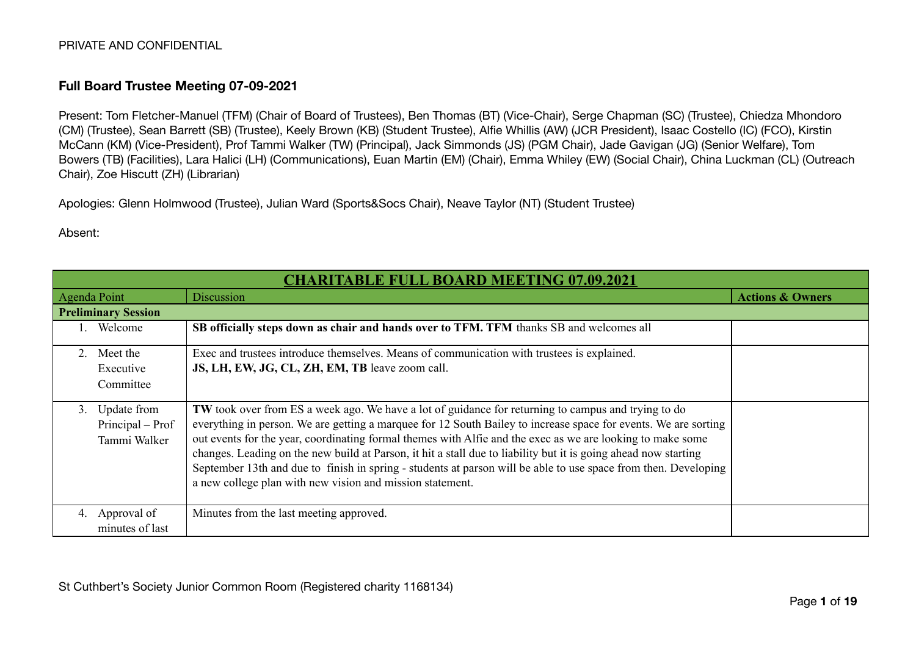#### **Full Board Trustee Meeting 07-09-2021**

Present: Tom Fletcher-Manuel (TFM) (Chair of Board of Trustees), Ben Thomas (BT) (Vice-Chair), Serge Chapman (SC) (Trustee), Chiedza Mhondoro (CM) (Trustee), Sean Barrett (SB) (Trustee), Keely Brown (KB) (Student Trustee), Alfie Whillis (AW) (JCR President), Isaac Costello (IC) (FCO), Kirstin McCann (KM) (Vice-President), Prof Tammi Walker (TW) (Principal), Jack Simmonds (JS) (PGM Chair), Jade Gavigan (JG) (Senior Welfare), Tom Bowers (TB) (Facilities), Lara Halici (LH) (Communications), Euan Martin (EM) (Chair), Emma Whiley (EW) (Social Chair), China Luckman (CL) (Outreach Chair), Zoe Hiscutt (ZH) (Librarian)

Apologies: Glenn Holmwood (Trustee), Julian Ward (Sports&Socs Chair), Neave Taylor (NT) (Student Trustee)

#### Absent:

| <b>CHARITABLE FULL BOARD MEETING 07.09.2021</b>       |                                                                                                                                                                                                                                                                                                                                                                                                                                                                                                                                                                                                                                         |                             |
|-------------------------------------------------------|-----------------------------------------------------------------------------------------------------------------------------------------------------------------------------------------------------------------------------------------------------------------------------------------------------------------------------------------------------------------------------------------------------------------------------------------------------------------------------------------------------------------------------------------------------------------------------------------------------------------------------------------|-----------------------------|
| <b>Agenda Point</b>                                   | <b>Discussion</b>                                                                                                                                                                                                                                                                                                                                                                                                                                                                                                                                                                                                                       | <b>Actions &amp; Owners</b> |
| <b>Preliminary Session</b>                            |                                                                                                                                                                                                                                                                                                                                                                                                                                                                                                                                                                                                                                         |                             |
| Welcome                                               | SB officially steps down as chair and hands over to TFM. TFM thanks SB and welcomes all                                                                                                                                                                                                                                                                                                                                                                                                                                                                                                                                                 |                             |
| 2. Meet the<br>Executive<br>Committee                 | Exec and trustees introduce themselves. Means of communication with trustees is explained.<br>JS, LH, EW, JG, CL, ZH, EM, TB leave zoom call.                                                                                                                                                                                                                                                                                                                                                                                                                                                                                           |                             |
| Update from<br>3.<br>Principal – Prof<br>Tammi Walker | TW took over from ES a week ago. We have a lot of guidance for returning to campus and trying to do<br>everything in person. We are getting a marquee for 12 South Bailey to increase space for events. We are sorting<br>out events for the year, coordinating formal themes with Alfie and the exec as we are looking to make some<br>changes. Leading on the new build at Parson, it hit a stall due to liability but it is going ahead now starting<br>September 13th and due to finish in spring - students at parson will be able to use space from then. Developing<br>a new college plan with new vision and mission statement. |                             |
| Approval of<br>4.<br>minutes of last                  | Minutes from the last meeting approved.                                                                                                                                                                                                                                                                                                                                                                                                                                                                                                                                                                                                 |                             |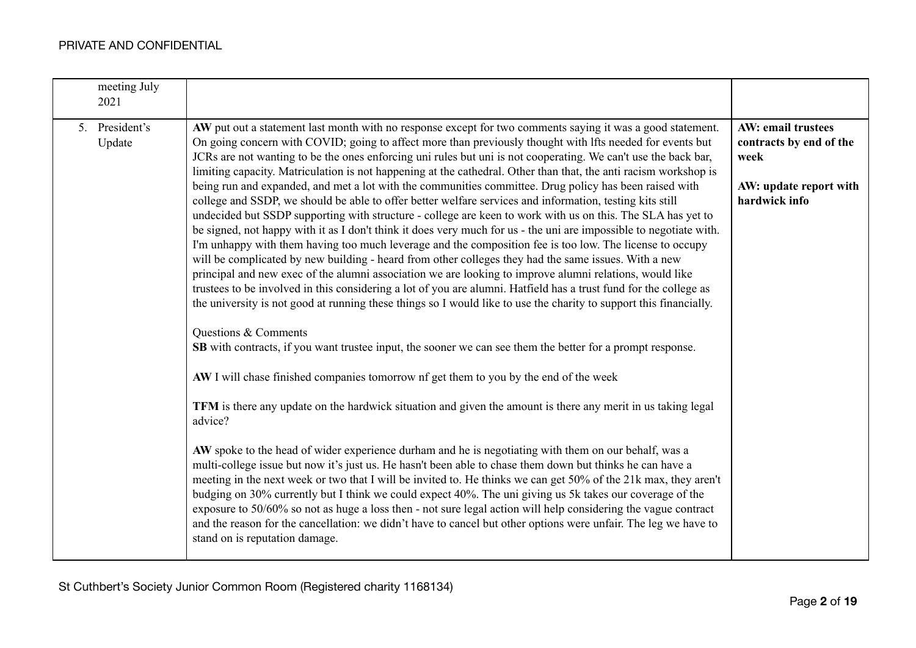| meeting July<br>2021     |                                                                                                                                                                                                                                                                                                                                                                                                                                                                                                                                                                                                                                                                                                                                                                                                                                                                                                                                                                                                                                                                                                                                                                                                                                                                                                                                                                                                                                                                                                                                                                                                                                                                                                                                                                                                                                                                                                                                                                                                                                                                                                                                                                                                                                                                                                                                                                                                                                                                                                                                                                                                |                                                                                                  |
|--------------------------|------------------------------------------------------------------------------------------------------------------------------------------------------------------------------------------------------------------------------------------------------------------------------------------------------------------------------------------------------------------------------------------------------------------------------------------------------------------------------------------------------------------------------------------------------------------------------------------------------------------------------------------------------------------------------------------------------------------------------------------------------------------------------------------------------------------------------------------------------------------------------------------------------------------------------------------------------------------------------------------------------------------------------------------------------------------------------------------------------------------------------------------------------------------------------------------------------------------------------------------------------------------------------------------------------------------------------------------------------------------------------------------------------------------------------------------------------------------------------------------------------------------------------------------------------------------------------------------------------------------------------------------------------------------------------------------------------------------------------------------------------------------------------------------------------------------------------------------------------------------------------------------------------------------------------------------------------------------------------------------------------------------------------------------------------------------------------------------------------------------------------------------------------------------------------------------------------------------------------------------------------------------------------------------------------------------------------------------------------------------------------------------------------------------------------------------------------------------------------------------------------------------------------------------------------------------------------------------------|--------------------------------------------------------------------------------------------------|
| 5. President's<br>Update | AW put out a statement last month with no response except for two comments saying it was a good statement.<br>On going concern with COVID; going to affect more than previously thought with lfts needed for events but<br>JCRs are not wanting to be the ones enforcing uni rules but uni is not cooperating. We can't use the back bar,<br>limiting capacity. Matriculation is not happening at the cathedral. Other than that, the anti racism workshop is<br>being run and expanded, and met a lot with the communities committee. Drug policy has been raised with<br>college and SSDP, we should be able to offer better welfare services and information, testing kits still<br>undecided but SSDP supporting with structure - college are keen to work with us on this. The SLA has yet to<br>be signed, not happy with it as I don't think it does very much for us - the uni are impossible to negotiate with.<br>I'm unhappy with them having too much leverage and the composition fee is too low. The license to occupy<br>will be complicated by new building - heard from other colleges they had the same issues. With a new<br>principal and new exec of the alumni association we are looking to improve alumni relations, would like<br>trustees to be involved in this considering a lot of you are alumni. Hatfield has a trust fund for the college as<br>the university is not good at running these things so I would like to use the charity to support this financially.<br>Questions & Comments<br><b>SB</b> with contracts, if you want trustee input, the sooner we can see them the better for a prompt response.<br>AW I will chase finished companies tomorrow nf get them to you by the end of the week<br>TFM is there any update on the hardwick situation and given the amount is there any merit in us taking legal<br>advice?<br>AW spoke to the head of wider experience durham and he is negotiating with them on our behalf, was a<br>multi-college issue but now it's just us. He hasn't been able to chase them down but thinks he can have a<br>meeting in the next week or two that I will be invited to. He thinks we can get 50% of the 21k max, they aren't<br>budging on 30% currently but I think we could expect 40%. The uni giving us 5k takes our coverage of the<br>exposure to 50/60% so not as huge a loss then - not sure legal action will help considering the vague contract<br>and the reason for the cancellation: we didn't have to cancel but other options were unfair. The leg we have to<br>stand on is reputation damage. | AW: email trustees<br>contracts by end of the<br>week<br>AW: update report with<br>hardwick info |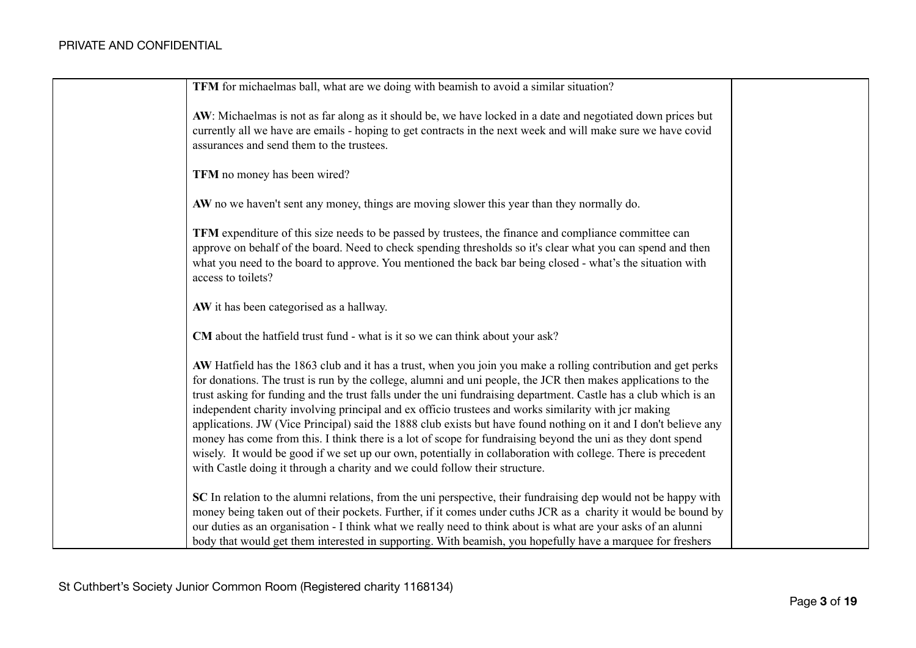| <b>TFM</b> for michaelmas ball, what are we doing with beamish to avoid a similar situation?                                                                                                                                                                                                                                                                                                                                                                                                                                                                                                                                                                                                                                                                                                                                                                                                 |  |
|----------------------------------------------------------------------------------------------------------------------------------------------------------------------------------------------------------------------------------------------------------------------------------------------------------------------------------------------------------------------------------------------------------------------------------------------------------------------------------------------------------------------------------------------------------------------------------------------------------------------------------------------------------------------------------------------------------------------------------------------------------------------------------------------------------------------------------------------------------------------------------------------|--|
| AW: Michaelmas is not as far along as it should be, we have locked in a date and negotiated down prices but<br>currently all we have are emails - hoping to get contracts in the next week and will make sure we have covid<br>assurances and send them to the trustees.                                                                                                                                                                                                                                                                                                                                                                                                                                                                                                                                                                                                                     |  |
| TFM no money has been wired?                                                                                                                                                                                                                                                                                                                                                                                                                                                                                                                                                                                                                                                                                                                                                                                                                                                                 |  |
| AW no we haven't sent any money, things are moving slower this year than they normally do.                                                                                                                                                                                                                                                                                                                                                                                                                                                                                                                                                                                                                                                                                                                                                                                                   |  |
| TFM expenditure of this size needs to be passed by trustees, the finance and compliance committee can<br>approve on behalf of the board. Need to check spending thresholds so it's clear what you can spend and then<br>what you need to the board to approve. You mentioned the back bar being closed - what's the situation with<br>access to toilets?                                                                                                                                                                                                                                                                                                                                                                                                                                                                                                                                     |  |
| AW it has been categorised as a hallway.                                                                                                                                                                                                                                                                                                                                                                                                                                                                                                                                                                                                                                                                                                                                                                                                                                                     |  |
| CM about the hatfield trust fund - what is it so we can think about your ask?                                                                                                                                                                                                                                                                                                                                                                                                                                                                                                                                                                                                                                                                                                                                                                                                                |  |
| AW Hatfield has the 1863 club and it has a trust, when you join you make a rolling contribution and get perks<br>for donations. The trust is run by the college, alumni and uni people, the JCR then makes applications to the<br>trust asking for funding and the trust falls under the uni fundraising department. Castle has a club which is an<br>independent charity involving principal and ex officio trustees and works similarity with jcr making<br>applications. JW (Vice Principal) said the 1888 club exists but have found nothing on it and I don't believe any<br>money has come from this. I think there is a lot of scope for fundraising beyond the uni as they dont spend<br>wisely. It would be good if we set up our own, potentially in collaboration with college. There is precedent<br>with Castle doing it through a charity and we could follow their structure. |  |
| SC In relation to the alumni relations, from the uni perspective, their fundraising dep would not be happy with<br>money being taken out of their pockets. Further, if it comes under cuths JCR as a charity it would be bound by<br>our duties as an organisation - I think what we really need to think about is what are your asks of an alunni<br>body that would get them interested in supporting. With beamish, you hopefully have a marquee for freshers                                                                                                                                                                                                                                                                                                                                                                                                                             |  |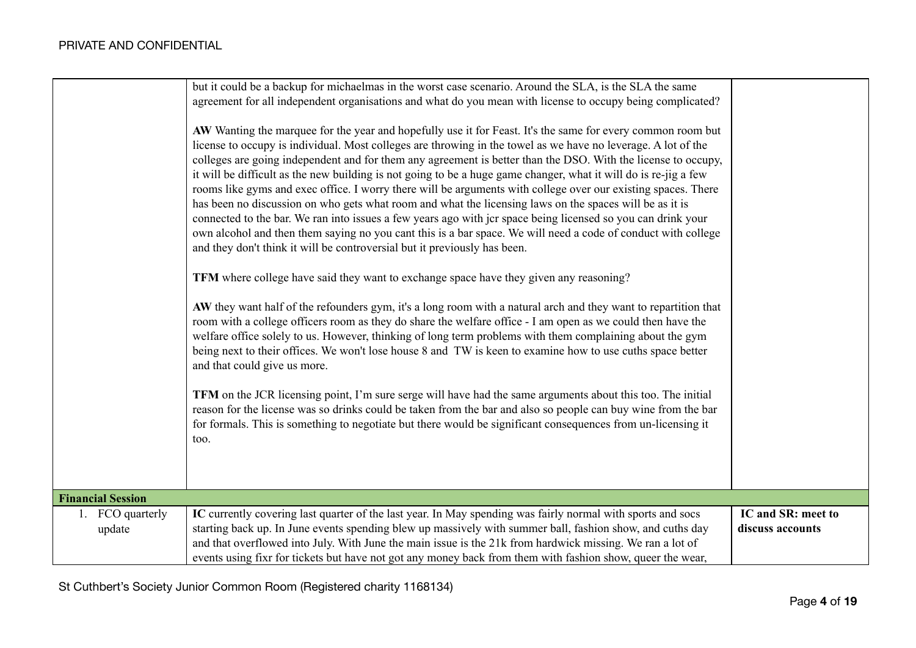|                            | but it could be a backup for michaelmas in the worst case scenario. Around the SLA, is the SLA the same<br>agreement for all independent organisations and what do you mean with license to occupy being complicated?<br>AW Wanting the marquee for the year and hopefully use it for Feast. It's the same for every common room but<br>license to occupy is individual. Most colleges are throwing in the towel as we have no leverage. A lot of the<br>colleges are going independent and for them any agreement is better than the DSO. With the license to occupy,<br>it will be difficult as the new building is not going to be a huge game changer, what it will do is re-jig a few<br>rooms like gyms and exec office. I worry there will be arguments with college over our existing spaces. There<br>has been no discussion on who gets what room and what the licensing laws on the spaces will be as it is<br>connected to the bar. We ran into issues a few years ago with jcr space being licensed so you can drink your<br>own alcohol and then them saying no you cant this is a bar space. We will need a code of conduct with college<br>and they don't think it will be controversial but it previously has been.<br>TFM where college have said they want to exchange space have they given any reasoning?<br>AW they want half of the refounders gym, it's a long room with a natural arch and they want to repartition that<br>room with a college officers room as they do share the welfare office - I am open as we could then have the<br>welfare office solely to us. However, thinking of long term problems with them complaining about the gym<br>being next to their offices. We won't lose house 8 and TW is keen to examine how to use cuths space better<br>and that could give us more.<br>TFM on the JCR licensing point, I'm sure serge will have had the same arguments about this too. The initial<br>reason for the license was so drinks could be taken from the bar and also so people can buy wine from the bar<br>for formals. This is something to negotiate but there would be significant consequences from un-licensing it<br>too. |                                        |
|----------------------------|------------------------------------------------------------------------------------------------------------------------------------------------------------------------------------------------------------------------------------------------------------------------------------------------------------------------------------------------------------------------------------------------------------------------------------------------------------------------------------------------------------------------------------------------------------------------------------------------------------------------------------------------------------------------------------------------------------------------------------------------------------------------------------------------------------------------------------------------------------------------------------------------------------------------------------------------------------------------------------------------------------------------------------------------------------------------------------------------------------------------------------------------------------------------------------------------------------------------------------------------------------------------------------------------------------------------------------------------------------------------------------------------------------------------------------------------------------------------------------------------------------------------------------------------------------------------------------------------------------------------------------------------------------------------------------------------------------------------------------------------------------------------------------------------------------------------------------------------------------------------------------------------------------------------------------------------------------------------------------------------------------------------------------------------------------------------------------------------------------------------------------------------------------------------------------|----------------------------------------|
|                            |                                                                                                                                                                                                                                                                                                                                                                                                                                                                                                                                                                                                                                                                                                                                                                                                                                                                                                                                                                                                                                                                                                                                                                                                                                                                                                                                                                                                                                                                                                                                                                                                                                                                                                                                                                                                                                                                                                                                                                                                                                                                                                                                                                                    |                                        |
| <b>Financial Session</b>   |                                                                                                                                                                                                                                                                                                                                                                                                                                                                                                                                                                                                                                                                                                                                                                                                                                                                                                                                                                                                                                                                                                                                                                                                                                                                                                                                                                                                                                                                                                                                                                                                                                                                                                                                                                                                                                                                                                                                                                                                                                                                                                                                                                                    |                                        |
| 1. FCO quarterly<br>update | IC currently covering last quarter of the last year. In May spending was fairly normal with sports and socs<br>starting back up. In June events spending blew up massively with summer ball, fashion show, and cuths day<br>and that overflowed into July. With June the main issue is the 21k from hardwick missing. We ran a lot of<br>events using fixr for tickets but have not got any money back from them with fashion show, queer the wear,                                                                                                                                                                                                                                                                                                                                                                                                                                                                                                                                                                                                                                                                                                                                                                                                                                                                                                                                                                                                                                                                                                                                                                                                                                                                                                                                                                                                                                                                                                                                                                                                                                                                                                                                | IC and SR: meet to<br>discuss accounts |

St Cuthbert's Society Junior Common Room (Registered charity 1168134)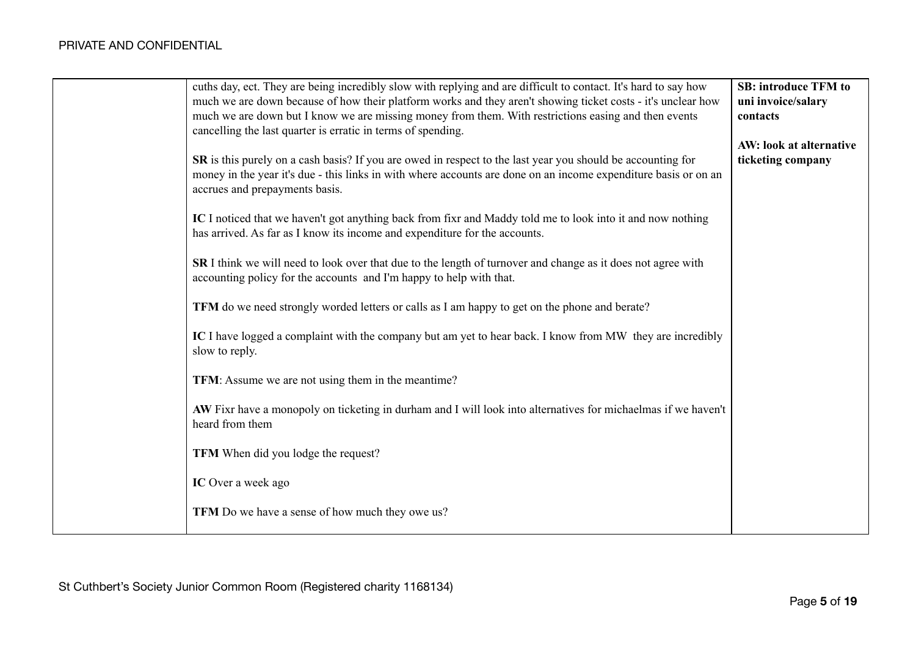| cuths day, ect. They are being incredibly slow with replying and are difficult to contact. It's hard to say how                                                                          | <b>SB: introduce TFM to</b> |
|------------------------------------------------------------------------------------------------------------------------------------------------------------------------------------------|-----------------------------|
| much we are down because of how their platform works and they aren't showing ticket costs - it's unclear how                                                                             | uni invoice/salary          |
| much we are down but I know we are missing money from them. With restrictions easing and then events<br>cancelling the last quarter is erratic in terms of spending.                     | contacts                    |
|                                                                                                                                                                                          | AW: look at alternative     |
| SR is this purely on a cash basis? If you are owed in respect to the last year you should be accounting for                                                                              | ticketing company           |
| money in the year it's due - this links in with where accounts are done on an income expenditure basis or on an                                                                          |                             |
| accrues and prepayments basis.                                                                                                                                                           |                             |
|                                                                                                                                                                                          |                             |
| IC I noticed that we haven't got anything back from fixr and Maddy told me to look into it and now nothing<br>has arrived. As far as I know its income and expenditure for the accounts. |                             |
|                                                                                                                                                                                          |                             |
| SR I think we will need to look over that due to the length of turnover and change as it does not agree with                                                                             |                             |
| accounting policy for the accounts and I'm happy to help with that.                                                                                                                      |                             |
|                                                                                                                                                                                          |                             |
| TFM do we need strongly worded letters or calls as I am happy to get on the phone and berate?                                                                                            |                             |
| IC I have logged a complaint with the company but am yet to hear back. I know from MW they are incredibly                                                                                |                             |
| slow to reply.                                                                                                                                                                           |                             |
|                                                                                                                                                                                          |                             |
| TFM: Assume we are not using them in the meantime?                                                                                                                                       |                             |
| AW Fixr have a monopoly on ticketing in durham and I will look into alternatives for michaelmas if we haven't                                                                            |                             |
| heard from them                                                                                                                                                                          |                             |
|                                                                                                                                                                                          |                             |
| TFM When did you lodge the request?                                                                                                                                                      |                             |
|                                                                                                                                                                                          |                             |
| IC Over a week ago                                                                                                                                                                       |                             |
| TFM Do we have a sense of how much they owe us?                                                                                                                                          |                             |
|                                                                                                                                                                                          |                             |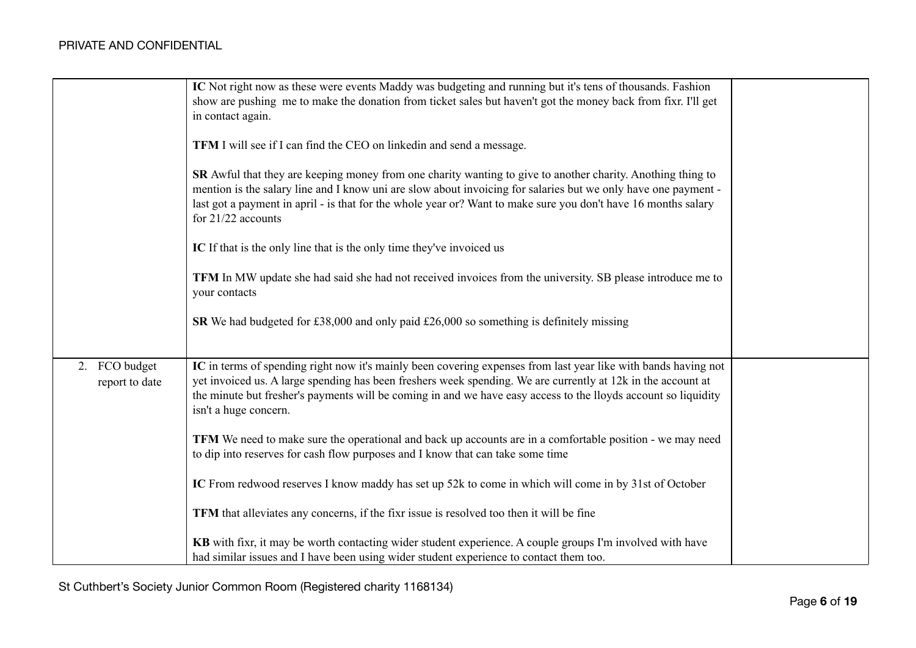|                                 | IC Not right now as these were events Maddy was budgeting and running but it's tens of thousands. Fashion<br>show are pushing me to make the donation from ticket sales but haven't got the money back from fixr. I'll get<br>in contact again.<br><b>TFM</b> I will see if I can find the CEO on linkedin and send a message.<br>SR Awful that they are keeping money from one charity wanting to give to another charity. Anothing thing to<br>mention is the salary line and I know uni are slow about invoicing for salaries but we only have one payment -<br>last got a payment in april - is that for the whole year or? Want to make sure you don't have 16 months salary<br>for $21/22$ accounts<br>IC If that is the only line that is the only time they've invoiced us<br><b>TFM</b> In MW update she had said she had not received invoices from the university. SB please introduce me to<br>your contacts |  |
|---------------------------------|--------------------------------------------------------------------------------------------------------------------------------------------------------------------------------------------------------------------------------------------------------------------------------------------------------------------------------------------------------------------------------------------------------------------------------------------------------------------------------------------------------------------------------------------------------------------------------------------------------------------------------------------------------------------------------------------------------------------------------------------------------------------------------------------------------------------------------------------------------------------------------------------------------------------------|--|
|                                 | <b>SR</b> We had budgeted for £38,000 and only paid £26,000 so something is definitely missing                                                                                                                                                                                                                                                                                                                                                                                                                                                                                                                                                                                                                                                                                                                                                                                                                           |  |
| 2. FCO budget<br>report to date | IC in terms of spending right now it's mainly been covering expenses from last year like with bands having not<br>yet invoiced us. A large spending has been freshers week spending. We are currently at 12k in the account at<br>the minute but fresher's payments will be coming in and we have easy access to the lloyds account so liquidity<br>isn't a huge concern.                                                                                                                                                                                                                                                                                                                                                                                                                                                                                                                                                |  |
|                                 | <b>TFM</b> We need to make sure the operational and back up accounts are in a comfortable position - we may need<br>to dip into reserves for cash flow purposes and I know that can take some time                                                                                                                                                                                                                                                                                                                                                                                                                                                                                                                                                                                                                                                                                                                       |  |
|                                 | IC From redwood reserves I know maddy has set up 52k to come in which will come in by 31st of October                                                                                                                                                                                                                                                                                                                                                                                                                                                                                                                                                                                                                                                                                                                                                                                                                    |  |
|                                 | TFM that alleviates any concerns, if the fixr issue is resolved too then it will be fine                                                                                                                                                                                                                                                                                                                                                                                                                                                                                                                                                                                                                                                                                                                                                                                                                                 |  |
|                                 | KB with fixr, it may be worth contacting wider student experience. A couple groups I'm involved with have<br>had similar issues and I have been using wider student experience to contact them too.                                                                                                                                                                                                                                                                                                                                                                                                                                                                                                                                                                                                                                                                                                                      |  |

St Cuthbert's Society Junior Common Room (Registered charity 1168134)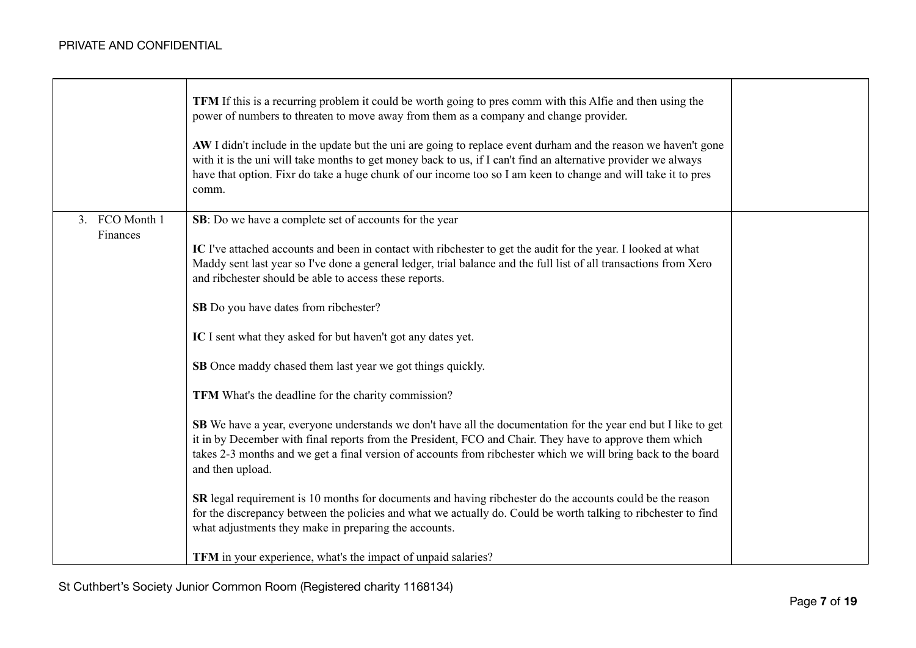|                            | <b>TFM</b> If this is a recurring problem it could be worth going to pres comm with this Alfie and then using the<br>power of numbers to threaten to move away from them as a company and change provider.<br>AW I didn't include in the update but the uni are going to replace event durham and the reason we haven't gone<br>with it is the uni will take months to get money back to us, if I can't find an alternative provider we always<br>have that option. Fixr do take a huge chunk of our income too so I am keen to change and will take it to pres<br>comm.                                                                                                                                                                                                                                                                                                                                                                                                                                                                                                                                                                                                                                                                                                                                               |  |
|----------------------------|------------------------------------------------------------------------------------------------------------------------------------------------------------------------------------------------------------------------------------------------------------------------------------------------------------------------------------------------------------------------------------------------------------------------------------------------------------------------------------------------------------------------------------------------------------------------------------------------------------------------------------------------------------------------------------------------------------------------------------------------------------------------------------------------------------------------------------------------------------------------------------------------------------------------------------------------------------------------------------------------------------------------------------------------------------------------------------------------------------------------------------------------------------------------------------------------------------------------------------------------------------------------------------------------------------------------|--|
| 3. FCO Month 1<br>Finances | SB: Do we have a complete set of accounts for the year<br>IC I've attached accounts and been in contact with ribchester to get the audit for the year. I looked at what<br>Maddy sent last year so I've done a general ledger, trial balance and the full list of all transactions from Xero<br>and ribchester should be able to access these reports.<br>SB Do you have dates from ribchester?<br>IC I sent what they asked for but haven't got any dates yet.<br>SB Once maddy chased them last year we got things quickly.<br>TFM What's the deadline for the charity commission?<br><b>SB</b> We have a year, everyone understands we don't have all the documentation for the year end but I like to get<br>it in by December with final reports from the President, FCO and Chair. They have to approve them which<br>takes 2-3 months and we get a final version of accounts from ribchester which we will bring back to the board<br>and then upload.<br>SR legal requirement is 10 months for documents and having ribchester do the accounts could be the reason<br>for the discrepancy between the policies and what we actually do. Could be worth talking to ribchester to find<br>what adjustments they make in preparing the accounts.<br>TFM in your experience, what's the impact of unpaid salaries? |  |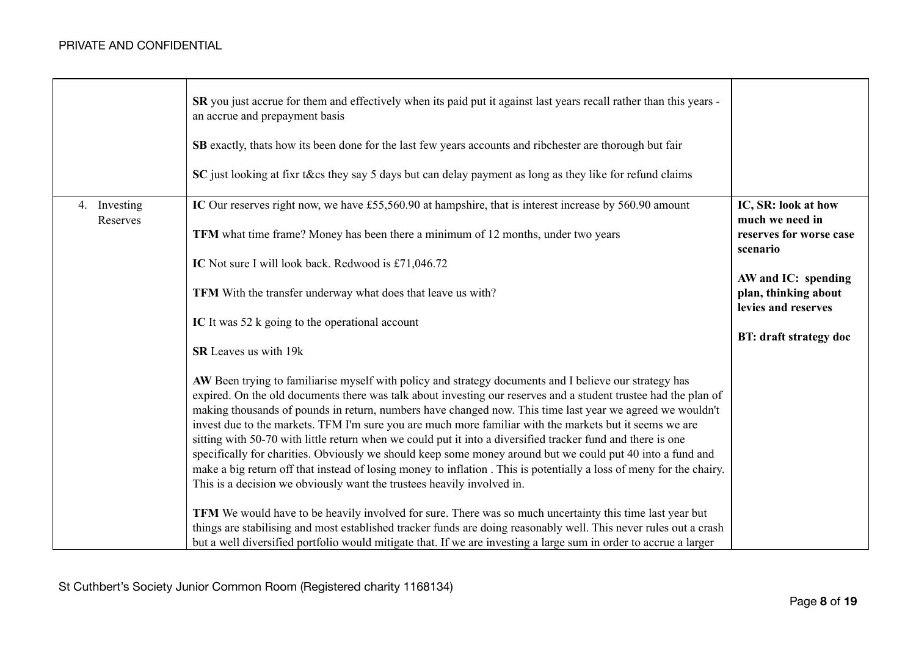|                          | <b>SR</b> you just accrue for them and effectively when its paid put it against last years recall rather than this years -<br>an accrue and prepayment basis<br>SB exactly, thats how its been done for the last few years accounts and ribchester are thorough but fair<br>SC just looking at fixr t&cs they say 5 days but can delay payment as long as they like for refund claims                                                                                                                                                                                                                                                                                                                                                                                                                                                                                                                                                                                                                                                                                                                                                                                                                                                                                                                                                                                                                                                                                                                                                                                                                                                          |                                                                                                                                                                               |
|--------------------------|------------------------------------------------------------------------------------------------------------------------------------------------------------------------------------------------------------------------------------------------------------------------------------------------------------------------------------------------------------------------------------------------------------------------------------------------------------------------------------------------------------------------------------------------------------------------------------------------------------------------------------------------------------------------------------------------------------------------------------------------------------------------------------------------------------------------------------------------------------------------------------------------------------------------------------------------------------------------------------------------------------------------------------------------------------------------------------------------------------------------------------------------------------------------------------------------------------------------------------------------------------------------------------------------------------------------------------------------------------------------------------------------------------------------------------------------------------------------------------------------------------------------------------------------------------------------------------------------------------------------------------------------|-------------------------------------------------------------------------------------------------------------------------------------------------------------------------------|
| 4. Investing<br>Reserves | IC Our reserves right now, we have £55,560.90 at hampshire, that is interest increase by 560.90 amount<br><b>TFM</b> what time frame? Money has been there a minimum of 12 months, under two years<br>IC Not sure I will look back. Redwood is £71,046.72<br>TFM With the transfer underway what does that leave us with?<br>IC It was 52 k going to the operational account<br>SR Leaves us with 19k<br>AW Been trying to familiarise myself with policy and strategy documents and I believe our strategy has<br>expired. On the old documents there was talk about investing our reserves and a student trustee had the plan of<br>making thousands of pounds in return, numbers have changed now. This time last year we agreed we wouldn't<br>invest due to the markets. TFM I'm sure you are much more familiar with the markets but it seems we are<br>sitting with 50-70 with little return when we could put it into a diversified tracker fund and there is one<br>specifically for charities. Obviously we should keep some money around but we could put 40 into a fund and<br>make a big return off that instead of losing money to inflation. This is potentially a loss of meny for the chairy.<br>This is a decision we obviously want the trustees heavily involved in.<br>TFM We would have to be heavily involved for sure. There was so much uncertainty this time last year but<br>things are stabilising and most established tracker funds are doing reasonably well. This never rules out a crash<br>but a well diversified portfolio would mitigate that. If we are investing a large sum in order to accrue a larger | IC, SR: look at how<br>much we need in<br>reserves for worse case<br>scenario<br>AW and IC: spending<br>plan, thinking about<br>levies and reserves<br>BT: draft strategy doc |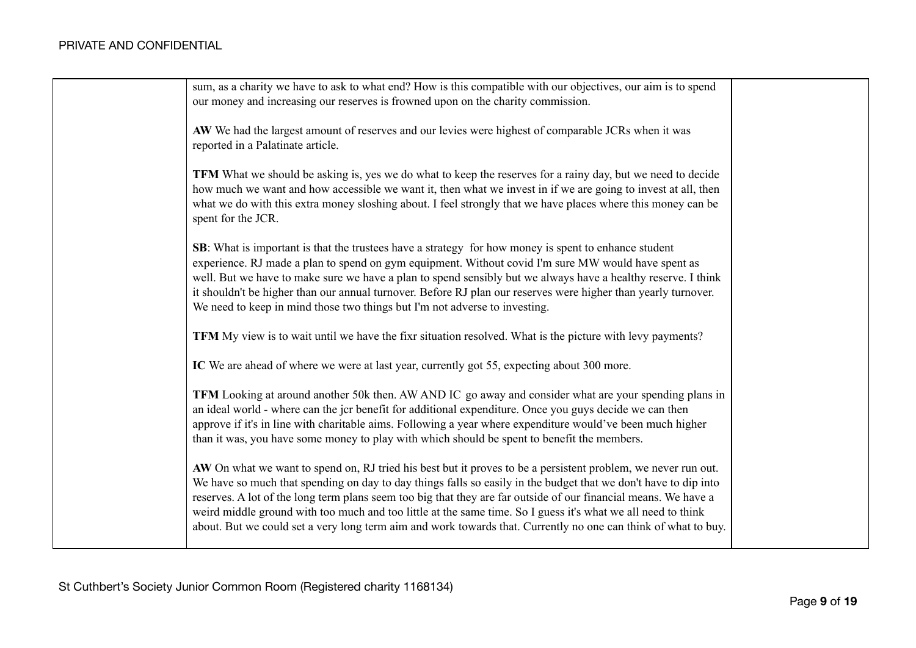| sum, as a charity we have to ask to what end? How is this compatible with our objectives, our aim is to spend<br>our money and increasing our reserves is frowned upon on the charity commission.                                                                                                                                                                                                                                                                                                                                                                                     |  |
|---------------------------------------------------------------------------------------------------------------------------------------------------------------------------------------------------------------------------------------------------------------------------------------------------------------------------------------------------------------------------------------------------------------------------------------------------------------------------------------------------------------------------------------------------------------------------------------|--|
| AW We had the largest amount of reserves and our levies were highest of comparable JCRs when it was<br>reported in a Palatinate article.                                                                                                                                                                                                                                                                                                                                                                                                                                              |  |
| <b>TFM</b> What we should be asking is, yes we do what to keep the reserves for a rainy day, but we need to decide<br>how much we want and how accessible we want it, then what we invest in if we are going to invest at all, then<br>what we do with this extra money sloshing about. I feel strongly that we have places where this money can be<br>spent for the JCR.                                                                                                                                                                                                             |  |
| <b>SB</b> : What is important is that the trustees have a strategy for how money is spent to enhance student<br>experience. RJ made a plan to spend on gym equipment. Without covid I'm sure MW would have spent as<br>well. But we have to make sure we have a plan to spend sensibly but we always have a healthy reserve. I think<br>it shouldn't be higher than our annual turnover. Before RJ plan our reserves were higher than yearly turnover.<br>We need to keep in mind those two things but I'm not adverse to investing.                                                  |  |
| TFM My view is to wait until we have the fixr situation resolved. What is the picture with levy payments?                                                                                                                                                                                                                                                                                                                                                                                                                                                                             |  |
| IC We are ahead of where we were at last year, currently got 55, expecting about 300 more.                                                                                                                                                                                                                                                                                                                                                                                                                                                                                            |  |
| TFM Looking at around another 50k then. AW AND IC go away and consider what are your spending plans in<br>an ideal world - where can the jcr benefit for additional expenditure. Once you guys decide we can then<br>approve if it's in line with charitable aims. Following a year where expenditure would've been much higher<br>than it was, you have some money to play with which should be spent to benefit the members.                                                                                                                                                        |  |
| AW On what we want to spend on, RJ tried his best but it proves to be a persistent problem, we never run out.<br>We have so much that spending on day to day things falls so easily in the budget that we don't have to dip into<br>reserves. A lot of the long term plans seem too big that they are far outside of our financial means. We have a<br>weird middle ground with too much and too little at the same time. So I guess it's what we all need to think<br>about. But we could set a very long term aim and work towards that. Currently no one can think of what to buy. |  |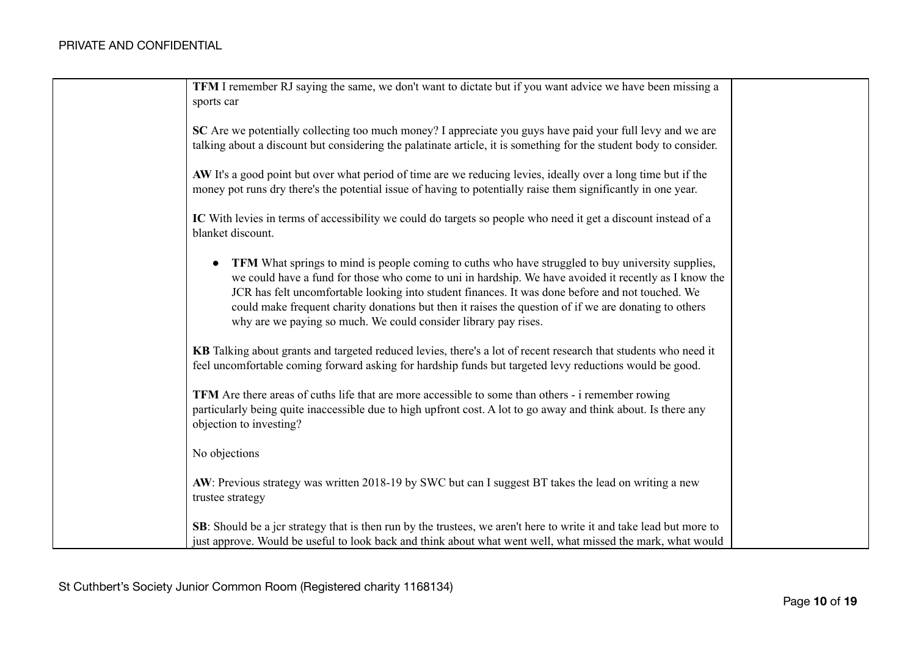| <b>TFM</b> I remember RJ saying the same, we don't want to dictate but if you want advice we have been missing a<br>sports car                                                                                                                                                                                                                                                                                                                                                                          |
|---------------------------------------------------------------------------------------------------------------------------------------------------------------------------------------------------------------------------------------------------------------------------------------------------------------------------------------------------------------------------------------------------------------------------------------------------------------------------------------------------------|
| SC Are we potentially collecting too much money? I appreciate you guys have paid your full levy and we are<br>talking about a discount but considering the palatinate article, it is something for the student body to consider.                                                                                                                                                                                                                                                                        |
| AW It's a good point but over what period of time are we reducing levies, ideally over a long time but if the<br>money pot runs dry there's the potential issue of having to potentially raise them significantly in one year.                                                                                                                                                                                                                                                                          |
| IC With levies in terms of accessibility we could do targets so people who need it get a discount instead of a<br>blanket discount.                                                                                                                                                                                                                                                                                                                                                                     |
| TFM What springs to mind is people coming to cuths who have struggled to buy university supplies,<br>$\bullet$<br>we could have a fund for those who come to uni in hardship. We have avoided it recently as I know the<br>JCR has felt uncomfortable looking into student finances. It was done before and not touched. We<br>could make frequent charity donations but then it raises the question of if we are donating to others<br>why are we paying so much. We could consider library pay rises. |
| KB Talking about grants and targeted reduced levies, there's a lot of recent research that students who need it<br>feel uncomfortable coming forward asking for hardship funds but targeted levy reductions would be good.                                                                                                                                                                                                                                                                              |
| <b>TFM</b> Are there areas of cuths life that are more accessible to some than others - i remember rowing<br>particularly being quite inaccessible due to high upfront cost. A lot to go away and think about. Is there any<br>objection to investing?                                                                                                                                                                                                                                                  |
| No objections                                                                                                                                                                                                                                                                                                                                                                                                                                                                                           |
| AW: Previous strategy was written 2018-19 by SWC but can I suggest BT takes the lead on writing a new<br>trustee strategy                                                                                                                                                                                                                                                                                                                                                                               |
| <b>SB</b> : Should be a jcr strategy that is then run by the trustees, we aren't here to write it and take lead but more to<br>just approve. Would be useful to look back and think about what went well, what missed the mark, what would                                                                                                                                                                                                                                                              |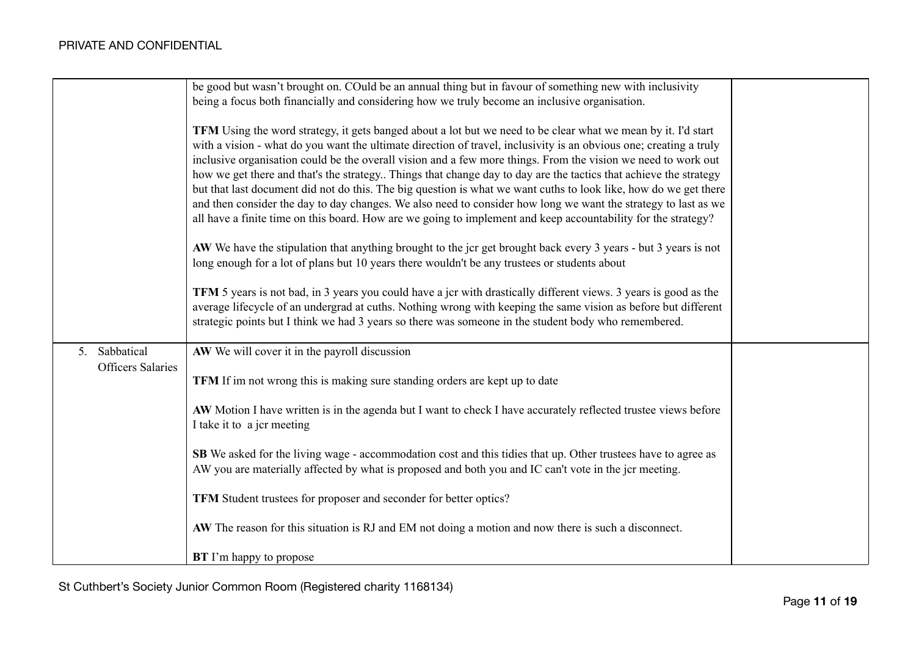|                          | be good but wasn't brought on. COuld be an annual thing but in favour of something new with inclusivity                 |  |
|--------------------------|-------------------------------------------------------------------------------------------------------------------------|--|
|                          | being a focus both financially and considering how we truly become an inclusive organisation.                           |  |
|                          |                                                                                                                         |  |
|                          | TFM Using the word strategy, it gets banged about a lot but we need to be clear what we mean by it. I'd start           |  |
|                          | with a vision - what do you want the ultimate direction of travel, inclusivity is an obvious one; creating a truly      |  |
|                          | inclusive organisation could be the overall vision and a few more things. From the vision we need to work out           |  |
|                          | how we get there and that's the strategy Things that change day to day are the tactics that achieve the strategy        |  |
|                          | but that last document did not do this. The big question is what we want cuths to look like, how do we get there        |  |
|                          | and then consider the day to day changes. We also need to consider how long we want the strategy to last as we          |  |
|                          | all have a finite time on this board. How are we going to implement and keep accountability for the strategy?           |  |
|                          |                                                                                                                         |  |
|                          | AW We have the stipulation that anything brought to the jcr get brought back every 3 years - but 3 years is not         |  |
|                          | long enough for a lot of plans but 10 years there wouldn't be any trustees or students about                            |  |
|                          |                                                                                                                         |  |
|                          | <b>TFM</b> 5 years is not bad, in 3 years you could have a jcr with drastically different views. 3 years is good as the |  |
|                          | average lifecycle of an undergrad at cuths. Nothing wrong with keeping the same vision as before but different          |  |
|                          | strategic points but I think we had 3 years so there was someone in the student body who remembered.                    |  |
|                          |                                                                                                                         |  |
| 5. Sabbatical            | AW We will cover it in the payroll discussion                                                                           |  |
| <b>Officers Salaries</b> |                                                                                                                         |  |
|                          | TFM If im not wrong this is making sure standing orders are kept up to date                                             |  |
|                          |                                                                                                                         |  |
|                          | AW Motion I have written is in the agenda but I want to check I have accurately reflected trustee views before          |  |
|                          | I take it to a jcr meeting                                                                                              |  |
|                          |                                                                                                                         |  |
|                          | <b>SB</b> We asked for the living wage - accommodation cost and this tidies that up. Other trustees have to agree as    |  |
|                          | AW you are materially affected by what is proposed and both you and IC can't vote in the jcr meeting.                   |  |
|                          |                                                                                                                         |  |
|                          | TFM Student trustees for proposer and seconder for better optics?                                                       |  |
|                          |                                                                                                                         |  |
|                          | AW The reason for this situation is RJ and EM not doing a motion and now there is such a disconnect.                    |  |
|                          |                                                                                                                         |  |
|                          | <b>BT</b> I'm happy to propose                                                                                          |  |
|                          |                                                                                                                         |  |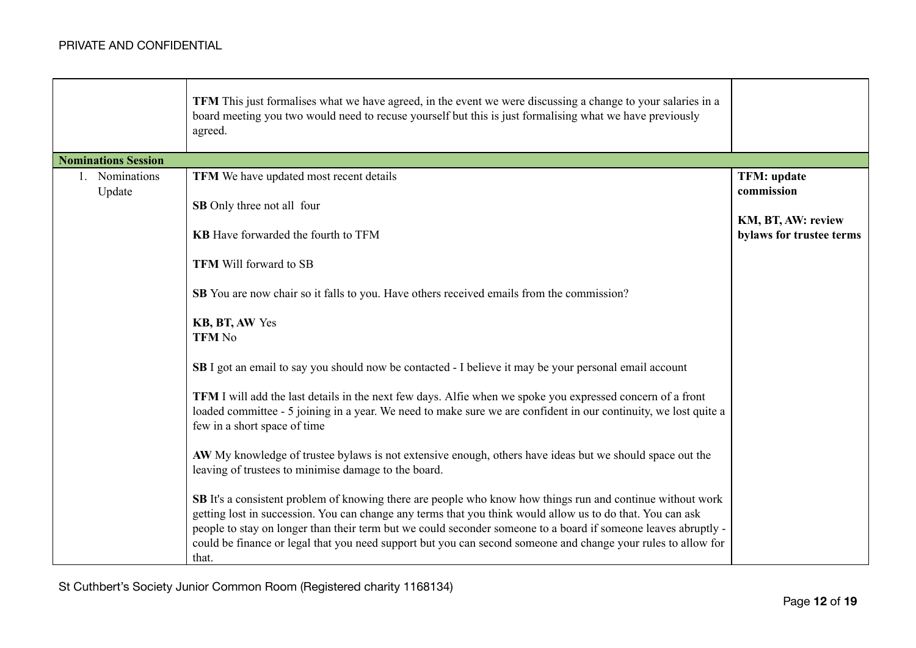|                            | <b>TFM</b> This just formalises what we have agreed, in the event we were discussing a change to your salaries in a<br>board meeting you two would need to recuse yourself but this is just formalising what we have previously<br>agreed.                                                                                                                                                                                                                                  |                                                |
|----------------------------|-----------------------------------------------------------------------------------------------------------------------------------------------------------------------------------------------------------------------------------------------------------------------------------------------------------------------------------------------------------------------------------------------------------------------------------------------------------------------------|------------------------------------------------|
| <b>Nominations Session</b> |                                                                                                                                                                                                                                                                                                                                                                                                                                                                             |                                                |
| 1. Nominations             | TFM We have updated most recent details                                                                                                                                                                                                                                                                                                                                                                                                                                     | <b>TFM: update</b><br>commission               |
| Update                     | SB Only three not all four                                                                                                                                                                                                                                                                                                                                                                                                                                                  |                                                |
|                            | <b>KB</b> Have forwarded the fourth to TFM                                                                                                                                                                                                                                                                                                                                                                                                                                  | KM, BT, AW: review<br>bylaws for trustee terms |
|                            | <b>TFM Will forward to SB</b>                                                                                                                                                                                                                                                                                                                                                                                                                                               |                                                |
|                            | <b>SB</b> You are now chair so it falls to you. Have others received emails from the commission?                                                                                                                                                                                                                                                                                                                                                                            |                                                |
|                            | KB, BT, AW Yes<br><b>TFM No</b>                                                                                                                                                                                                                                                                                                                                                                                                                                             |                                                |
|                            | SB I got an email to say you should now be contacted - I believe it may be your personal email account                                                                                                                                                                                                                                                                                                                                                                      |                                                |
|                            | <b>TFM</b> I will add the last details in the next few days. Alfie when we spoke you expressed concern of a front<br>loaded committee - 5 joining in a year. We need to make sure we are confident in our continuity, we lost quite a<br>few in a short space of time                                                                                                                                                                                                       |                                                |
|                            | AW My knowledge of trustee bylaws is not extensive enough, others have ideas but we should space out the<br>leaving of trustees to minimise damage to the board.                                                                                                                                                                                                                                                                                                            |                                                |
|                            | <b>SB</b> It's a consistent problem of knowing there are people who know how things run and continue without work<br>getting lost in succession. You can change any terms that you think would allow us to do that. You can ask<br>people to stay on longer than their term but we could seconder someone to a board if someone leaves abruptly -<br>could be finance or legal that you need support but you can second someone and change your rules to allow for<br>that. |                                                |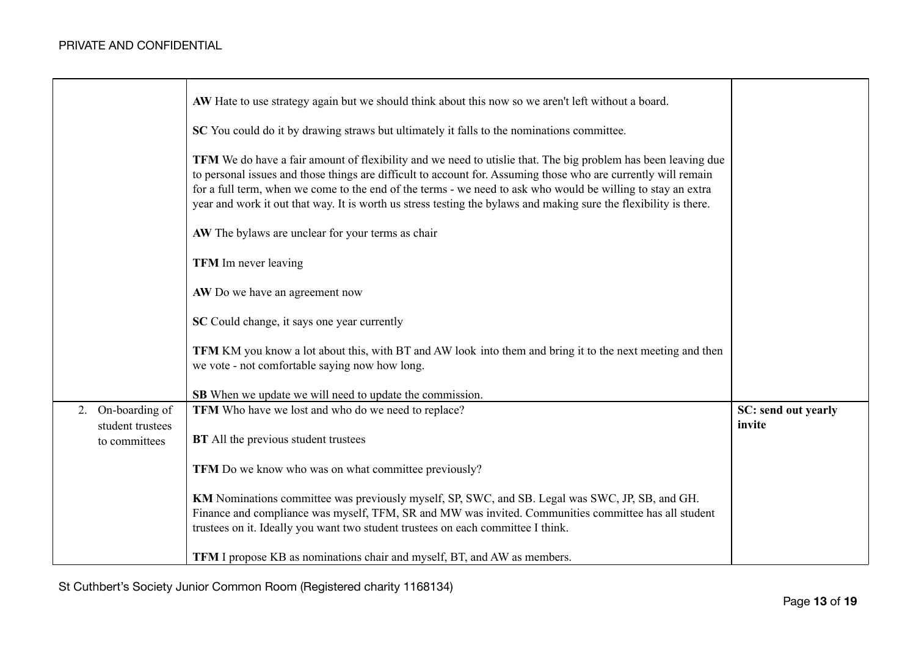|                                          | AW Hate to use strategy again but we should think about this now so we aren't left without a board.                                                                                                                                                                                                                                                                                                                                                                  |                               |
|------------------------------------------|----------------------------------------------------------------------------------------------------------------------------------------------------------------------------------------------------------------------------------------------------------------------------------------------------------------------------------------------------------------------------------------------------------------------------------------------------------------------|-------------------------------|
|                                          | SC You could do it by drawing straws but ultimately it falls to the nominations committee.                                                                                                                                                                                                                                                                                                                                                                           |                               |
|                                          | TFM We do have a fair amount of flexibility and we need to utislie that. The big problem has been leaving due<br>to personal issues and those things are difficult to account for. Assuming those who are currently will remain<br>for a full term, when we come to the end of the terms - we need to ask who would be willing to stay an extra<br>year and work it out that way. It is worth us stress testing the bylaws and making sure the flexibility is there. |                               |
|                                          | AW The bylaws are unclear for your terms as chair                                                                                                                                                                                                                                                                                                                                                                                                                    |                               |
|                                          | <b>TFM</b> Im never leaving                                                                                                                                                                                                                                                                                                                                                                                                                                          |                               |
|                                          | AW Do we have an agreement now                                                                                                                                                                                                                                                                                                                                                                                                                                       |                               |
|                                          | SC Could change, it says one year currently                                                                                                                                                                                                                                                                                                                                                                                                                          |                               |
|                                          | <b>TFM</b> KM you know a lot about this, with BT and AW look into them and bring it to the next meeting and then<br>we vote - not comfortable saying now how long.                                                                                                                                                                                                                                                                                                   |                               |
|                                          | SB When we update we will need to update the commission.                                                                                                                                                                                                                                                                                                                                                                                                             |                               |
| On-boarding of<br>2.<br>student trustees | TFM Who have we lost and who do we need to replace?                                                                                                                                                                                                                                                                                                                                                                                                                  | SC: send out yearly<br>invite |
| to committees                            | <b>BT</b> All the previous student trustees                                                                                                                                                                                                                                                                                                                                                                                                                          |                               |
|                                          | TFM Do we know who was on what committee previously?                                                                                                                                                                                                                                                                                                                                                                                                                 |                               |
|                                          | KM Nominations committee was previously myself, SP, SWC, and SB. Legal was SWC, JP, SB, and GH.<br>Finance and compliance was myself, TFM, SR and MW was invited. Communities committee has all student<br>trustees on it. Ideally you want two student trustees on each committee I think.                                                                                                                                                                          |                               |
|                                          | <b>TFM</b> I propose KB as nominations chair and myself, BT, and AW as members.                                                                                                                                                                                                                                                                                                                                                                                      |                               |

St Cuthbert's Society Junior Common Room (Registered charity 1168134)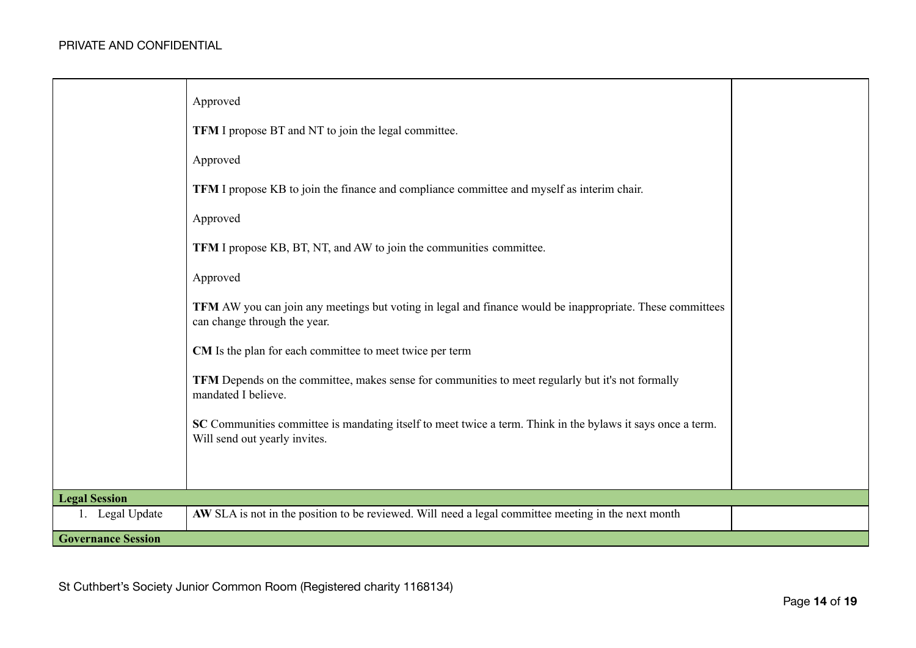|                           | Approved<br><b>TFM</b> I propose BT and NT to join the legal committee.<br>Approved<br>TFM I propose KB to join the finance and compliance committee and myself as interim chair.<br>Approved<br>TFM I propose KB, BT, NT, and AW to join the communities committee.<br>Approved<br>TFM AW you can join any meetings but voting in legal and finance would be inappropriate. These committees<br>can change through the year.<br>CM Is the plan for each committee to meet twice per term<br>TFM Depends on the committee, makes sense for communities to meet regularly but it's not formally<br>mandated I believe.<br>SC Communities committee is mandating itself to meet twice a term. Think in the bylaws it says once a term.<br>Will send out yearly invites. |  |
|---------------------------|-----------------------------------------------------------------------------------------------------------------------------------------------------------------------------------------------------------------------------------------------------------------------------------------------------------------------------------------------------------------------------------------------------------------------------------------------------------------------------------------------------------------------------------------------------------------------------------------------------------------------------------------------------------------------------------------------------------------------------------------------------------------------|--|
|                           |                                                                                                                                                                                                                                                                                                                                                                                                                                                                                                                                                                                                                                                                                                                                                                       |  |
| <b>Legal Session</b>      |                                                                                                                                                                                                                                                                                                                                                                                                                                                                                                                                                                                                                                                                                                                                                                       |  |
| 1. Legal Update           | AW SLA is not in the position to be reviewed. Will need a legal committee meeting in the next month                                                                                                                                                                                                                                                                                                                                                                                                                                                                                                                                                                                                                                                                   |  |
| <b>Governance Session</b> |                                                                                                                                                                                                                                                                                                                                                                                                                                                                                                                                                                                                                                                                                                                                                                       |  |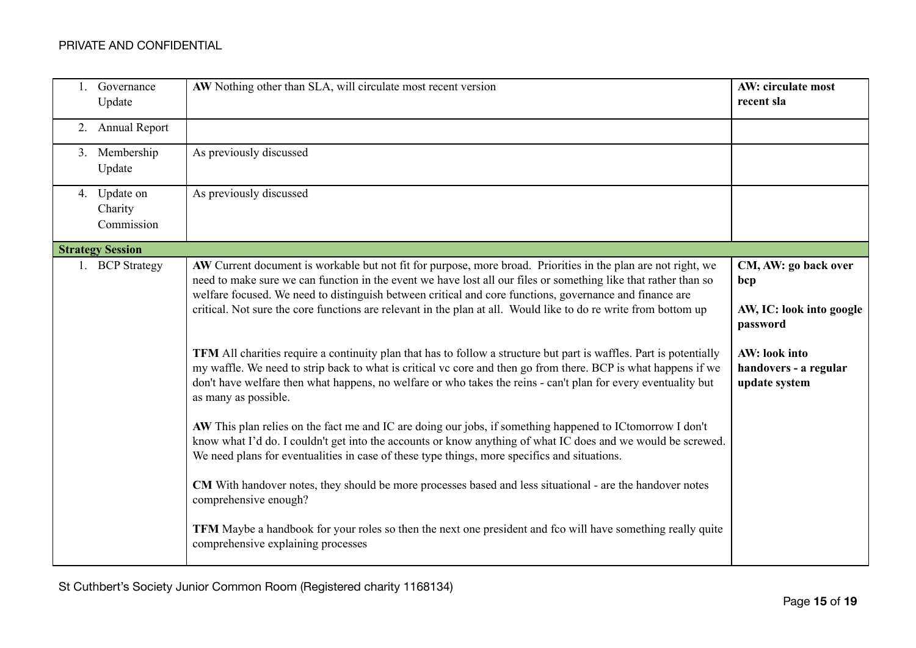| Governance<br>Update                  | AW Nothing other than SLA, will circulate most recent version                                                                                                                                                                                                                                                                                                                   | <b>AW: circulate most</b><br>recent sla                 |
|---------------------------------------|---------------------------------------------------------------------------------------------------------------------------------------------------------------------------------------------------------------------------------------------------------------------------------------------------------------------------------------------------------------------------------|---------------------------------------------------------|
| 2. Annual Report                      |                                                                                                                                                                                                                                                                                                                                                                                 |                                                         |
| 3. Membership<br>Update               | As previously discussed                                                                                                                                                                                                                                                                                                                                                         |                                                         |
| 4. Update on<br>Charity<br>Commission | As previously discussed                                                                                                                                                                                                                                                                                                                                                         |                                                         |
| <b>Strategy Session</b>               |                                                                                                                                                                                                                                                                                                                                                                                 |                                                         |
| 1. BCP Strategy                       | AW Current document is workable but not fit for purpose, more broad. Priorities in the plan are not right, we<br>need to make sure we can function in the event we have lost all our files or something like that rather than so<br>welfare focused. We need to distinguish between critical and core functions, governance and finance are                                     | CM, AW: go back over<br>bcp                             |
|                                       | critical. Not sure the core functions are relevant in the plan at all. Would like to do re write from bottom up                                                                                                                                                                                                                                                                 | AW, IC: look into google<br>password                    |
|                                       | TFM All charities require a continuity plan that has to follow a structure but part is waffles. Part is potentially<br>my waffle. We need to strip back to what is critical vc core and then go from there. BCP is what happens if we<br>don't have welfare then what happens, no welfare or who takes the reins - can't plan for every eventuality but<br>as many as possible. | AW: look into<br>handovers - a regular<br>update system |
|                                       | AW This plan relies on the fact me and IC are doing our jobs, if something happened to ICtomorrow I don't<br>know what I'd do. I couldn't get into the accounts or know anything of what IC does and we would be screwed.<br>We need plans for eventualities in case of these type things, more specifics and situations.                                                       |                                                         |
|                                       | CM With handover notes, they should be more processes based and less situational - are the handover notes<br>comprehensive enough?                                                                                                                                                                                                                                              |                                                         |
|                                       | TFM Maybe a handbook for your roles so then the next one president and fco will have something really quite<br>comprehensive explaining processes                                                                                                                                                                                                                               |                                                         |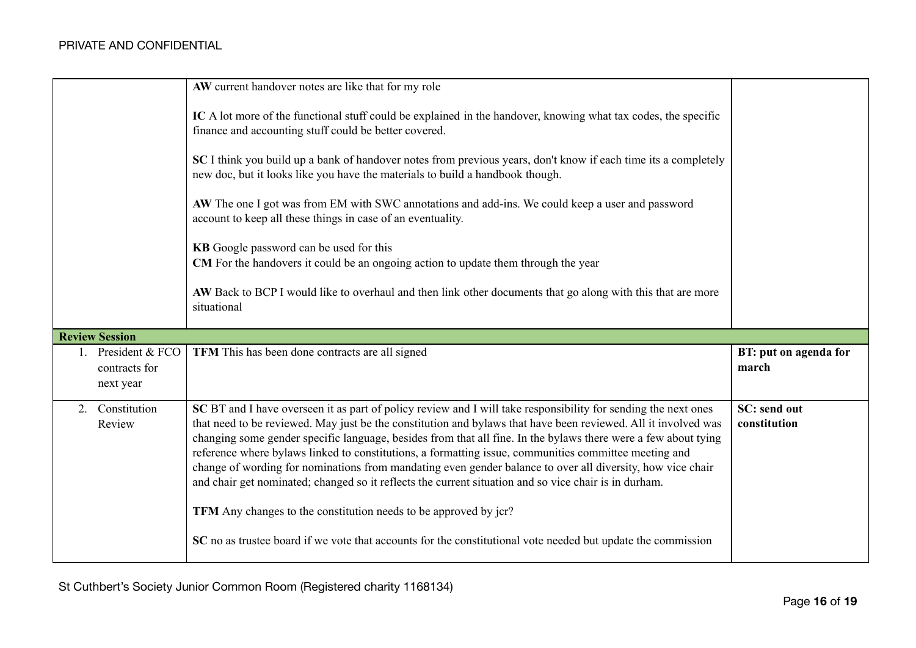|                                               | AW current handover notes are like that for my role                                                                                                                                                                                                                                                                                                                                                                                                                                                                                                                                                                                                                                                                                                                                                                                                                    |                                     |
|-----------------------------------------------|------------------------------------------------------------------------------------------------------------------------------------------------------------------------------------------------------------------------------------------------------------------------------------------------------------------------------------------------------------------------------------------------------------------------------------------------------------------------------------------------------------------------------------------------------------------------------------------------------------------------------------------------------------------------------------------------------------------------------------------------------------------------------------------------------------------------------------------------------------------------|-------------------------------------|
|                                               | IC A lot more of the functional stuff could be explained in the handover, knowing what tax codes, the specific<br>finance and accounting stuff could be better covered.                                                                                                                                                                                                                                                                                                                                                                                                                                                                                                                                                                                                                                                                                                |                                     |
|                                               | SC I think you build up a bank of handover notes from previous years, don't know if each time its a completely<br>new doc, but it looks like you have the materials to build a handbook though.                                                                                                                                                                                                                                                                                                                                                                                                                                                                                                                                                                                                                                                                        |                                     |
|                                               | AW The one I got was from EM with SWC annotations and add-ins. We could keep a user and password<br>account to keep all these things in case of an eventuality.                                                                                                                                                                                                                                                                                                                                                                                                                                                                                                                                                                                                                                                                                                        |                                     |
|                                               | KB Google password can be used for this<br>CM For the handovers it could be an ongoing action to update them through the year                                                                                                                                                                                                                                                                                                                                                                                                                                                                                                                                                                                                                                                                                                                                          |                                     |
|                                               | AW Back to BCP I would like to overhaul and then link other documents that go along with this that are more<br>situational                                                                                                                                                                                                                                                                                                                                                                                                                                                                                                                                                                                                                                                                                                                                             |                                     |
|                                               |                                                                                                                                                                                                                                                                                                                                                                                                                                                                                                                                                                                                                                                                                                                                                                                                                                                                        |                                     |
| <b>Review Session</b>                         |                                                                                                                                                                                                                                                                                                                                                                                                                                                                                                                                                                                                                                                                                                                                                                                                                                                                        |                                     |
| President & FCO<br>contracts for<br>next year | TFM This has been done contracts are all signed                                                                                                                                                                                                                                                                                                                                                                                                                                                                                                                                                                                                                                                                                                                                                                                                                        | BT: put on agenda for<br>march      |
| Constitution<br>2.<br>Review                  | SC BT and I have overseen it as part of policy review and I will take responsibility for sending the next ones<br>that need to be reviewed. May just be the constitution and bylaws that have been reviewed. All it involved was<br>changing some gender specific language, besides from that all fine. In the bylaws there were a few about tying<br>reference where bylaws linked to constitutions, a formatting issue, communities committee meeting and<br>change of wording for nominations from mandating even gender balance to over all diversity, how vice chair<br>and chair get nominated; changed so it reflects the current situation and so vice chair is in durham.<br>TFM Any changes to the constitution needs to be approved by jcr?<br>SC no as trustee board if we vote that accounts for the constitutional vote needed but update the commission | <b>SC:</b> send out<br>constitution |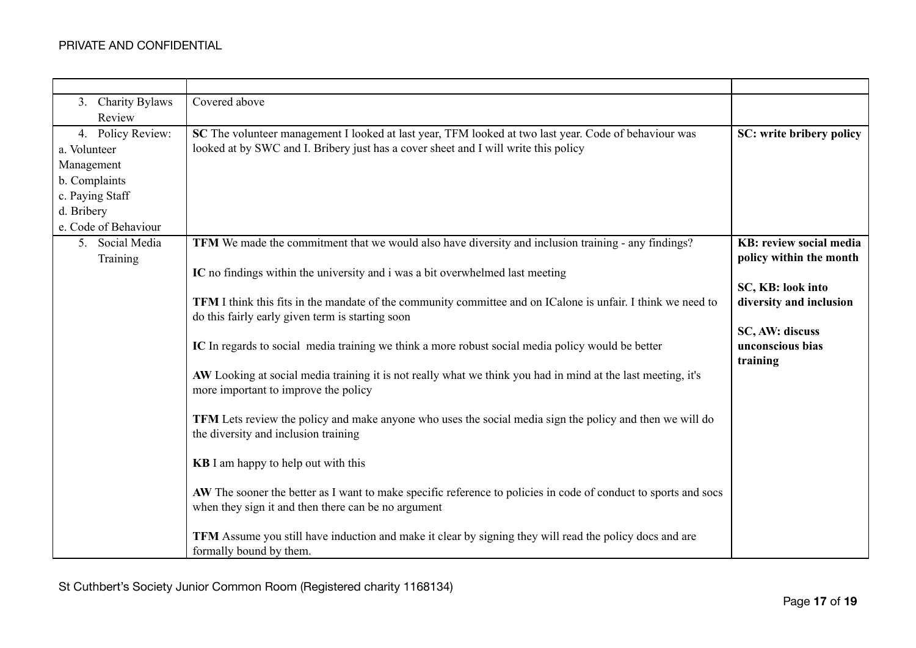| 3. Charity Bylaws    | Covered above                                                                                                   |                                 |
|----------------------|-----------------------------------------------------------------------------------------------------------------|---------------------------------|
| Review               |                                                                                                                 |                                 |
| 4. Policy Review:    | SC The volunteer management I looked at last year, TFM looked at two last year. Code of behaviour was           | SC: write bribery policy        |
| a. Volunteer         | looked at by SWC and I. Bribery just has a cover sheet and I will write this policy                             |                                 |
| Management           |                                                                                                                 |                                 |
| b. Complaints        |                                                                                                                 |                                 |
| c. Paying Staff      |                                                                                                                 |                                 |
| d. Bribery           |                                                                                                                 |                                 |
| e. Code of Behaviour |                                                                                                                 |                                 |
| 5. Social Media      | TFM We made the commitment that we would also have diversity and inclusion training - any findings?             | <b>KB</b> : review social media |
| Training             |                                                                                                                 | policy within the month         |
|                      | IC no findings within the university and i was a bit overwhelmed last meeting                                   |                                 |
|                      |                                                                                                                 | SC, KB: look into               |
|                      | TFM I think this fits in the mandate of the community committee and on ICalone is unfair. I think we need to    | diversity and inclusion         |
|                      | do this fairly early given term is starting soon                                                                | SC, AW: discuss                 |
|                      | IC In regards to social media training we think a more robust social media policy would be better               | unconscious bias                |
|                      |                                                                                                                 | training                        |
|                      | AW Looking at social media training it is not really what we think you had in mind at the last meeting, it's    |                                 |
|                      | more important to improve the policy                                                                            |                                 |
|                      |                                                                                                                 |                                 |
|                      | TFM Lets review the policy and make anyone who uses the social media sign the policy and then we will do        |                                 |
|                      | the diversity and inclusion training                                                                            |                                 |
|                      |                                                                                                                 |                                 |
|                      | <b>KB</b> I am happy to help out with this                                                                      |                                 |
|                      |                                                                                                                 |                                 |
|                      | AW The sooner the better as I want to make specific reference to policies in code of conduct to sports and socs |                                 |
|                      | when they sign it and then there can be no argument                                                             |                                 |
|                      | TFM Assume you still have induction and make it clear by signing they will read the policy docs and are         |                                 |
|                      | formally bound by them.                                                                                         |                                 |
|                      |                                                                                                                 |                                 |